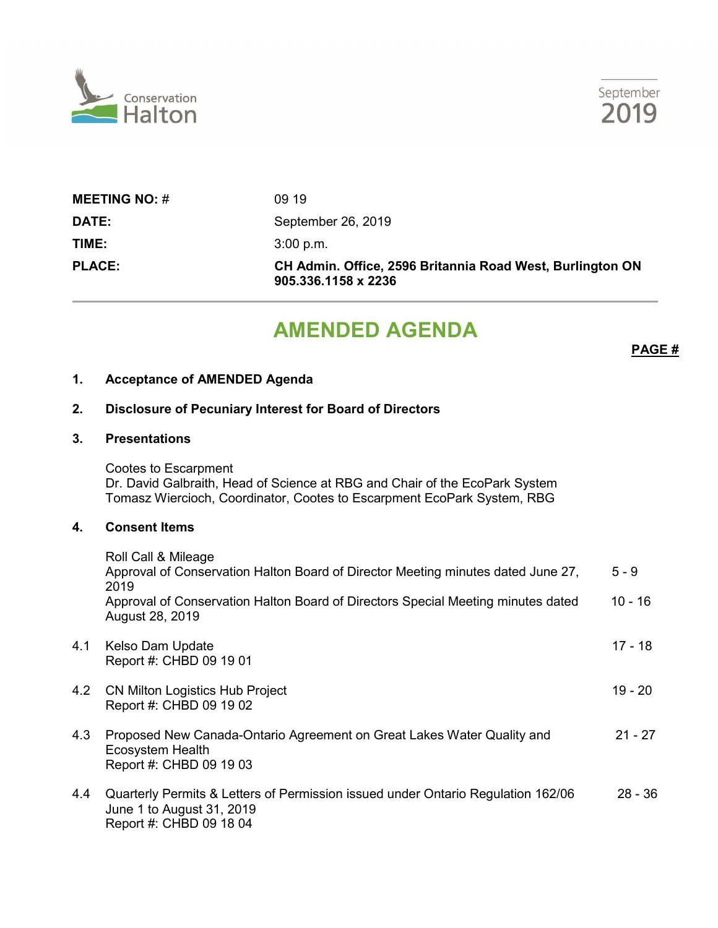



| <b>MEETING NO: <math>#</math></b> | 09 19                                                                            |
|-----------------------------------|----------------------------------------------------------------------------------|
| DATE:                             | September 26, 2019                                                               |
| TIME:                             | 3:00 p.m.                                                                        |
| <b>PLACE:</b>                     | CH Admin. Office, 2596 Britannia Road West, Burlington ON<br>905.336.1158 x 2236 |

# **AMENDED AGENDA**

**PAGE #**

#### **1. Acceptance of AMENDED Agenda**

# **2. Disclosure of Pecuniary Interest for Board of Directors**

#### **3. Presentations**

Cootes to Escarpment Dr. David Galbraith, Head of Science at RBG and Chair of the EcoPark System Tomasz Wiercioch, Coordinator, Cootes to Escarpment EcoPark System, RBG

### **4. Consent Items**

|     | Roll Call & Mileage<br>Approval of Conservation Halton Board of Director Meeting minutes dated June 27,<br>2019                          | $5 - 9$   |
|-----|------------------------------------------------------------------------------------------------------------------------------------------|-----------|
|     | Approval of Conservation Halton Board of Directors Special Meeting minutes dated<br>August 28, 2019                                      | $10 - 16$ |
| 4.1 | Kelso Dam Update<br>Report #: CHBD 09 19 01                                                                                              | 17 - 18   |
| 4.2 | <b>CN Milton Logistics Hub Project</b><br>Report #: CHBD 09 19 02                                                                        | 19 - 20   |
| 4.3 | Proposed New Canada-Ontario Agreement on Great Lakes Water Quality and<br>Ecosystem Health<br>Report #: CHBD 09 19 03                    | $21 - 27$ |
| 4.4 | Quarterly Permits & Letters of Permission issued under Ontario Regulation 162/06<br>June 1 to August 31, 2019<br>Report #: CHBD 09 18 04 | $28 - 36$ |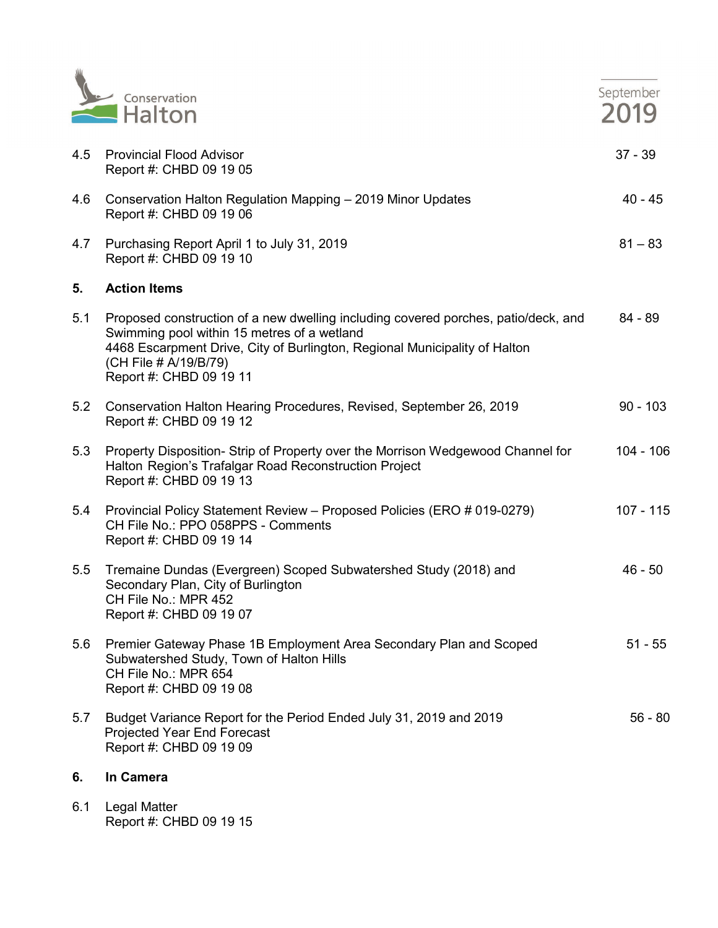

|     | Conservation<br>$H$ Halton                                                                                                                                                                                                                                          | September<br>2019 |
|-----|---------------------------------------------------------------------------------------------------------------------------------------------------------------------------------------------------------------------------------------------------------------------|-------------------|
| 4.5 | <b>Provincial Flood Advisor</b><br>Report #: CHBD 09 19 05                                                                                                                                                                                                          | $37 - 39$         |
| 4.6 | Conservation Halton Regulation Mapping - 2019 Minor Updates<br>Report #: CHBD 09 19 06                                                                                                                                                                              | $40 - 45$         |
| 4.7 | Purchasing Report April 1 to July 31, 2019<br>Report #: CHBD 09 19 10                                                                                                                                                                                               | $81 - 83$         |
| 5.  | <b>Action Items</b>                                                                                                                                                                                                                                                 |                   |
| 5.1 | Proposed construction of a new dwelling including covered porches, patio/deck, and<br>Swimming pool within 15 metres of a wetland<br>4468 Escarpment Drive, City of Burlington, Regional Municipality of Halton<br>(CH File # A/19/B/79)<br>Report #: CHBD 09 19 11 | $84 - 89$         |
| 5.2 | Conservation Halton Hearing Procedures, Revised, September 26, 2019<br>Report #: CHBD 09 19 12                                                                                                                                                                      | $90 - 103$        |
| 5.3 | Property Disposition- Strip of Property over the Morrison Wedgewood Channel for<br>Halton Region's Trafalgar Road Reconstruction Project<br>Report #: CHBD 09 19 13                                                                                                 | $104 - 106$       |
| 5.4 | Provincial Policy Statement Review - Proposed Policies (ERO # 019-0279)<br>CH File No.: PPO 058PPS - Comments<br>Report #: CHBD 09 19 14                                                                                                                            | $107 - 115$       |
| 5.5 | Tremaine Dundas (Evergreen) Scoped Subwatershed Study (2018) and<br>Secondary Plan, City of Burlington<br>CH File No.: MPR 452<br>Report #: CHBD 09 19 07                                                                                                           | $46 - 50$         |
| 5.6 | Premier Gateway Phase 1B Employment Area Secondary Plan and Scoped<br>Subwatershed Study, Town of Halton Hills<br>CH File No.: MPR 654<br>Report #: CHBD 09 19 08                                                                                                   | $51 - 55$         |
| 5.7 | Budget Variance Report for the Period Ended July 31, 2019 and 2019<br>Projected Year End Forecast<br>Report #: CHBD 09 19 09                                                                                                                                        | $56 - 80$         |

#### **6. In Camera**

6.1 Legal Matter Report #: CHBD 09 19 15